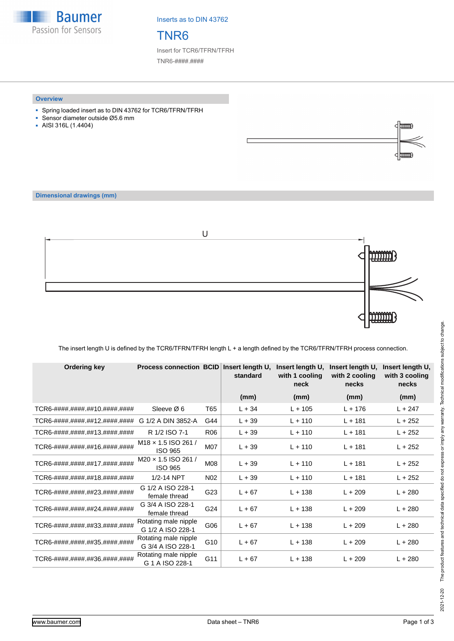**Baumer** Passion for Sensors

Inserts as to DIN 43762

## TNR6

Insert for TCR6/TFRN/TFRH TNR6-####.####

#### **Overview**

- Spring loaded insert as to DIN 43762 for TCR6/TFRN/TFRH
- Sensor diameter outside Ø5.6 mm
- AISI 316L (1.4404)



### **Dimensional drawings (mm)**



### The insert length U is defined by the TCR6/TFRN/TFRH length L + a length defined by the TCR6/TFRN/TFRH process connection.

| Ordering key                  | <b>Process connection BCID</b>               |                 | Insert length U,<br>standard | Insert length U,<br>with 1 cooling<br>neck | Insert length U,<br>with 2 cooling<br>necks | Insert length U,<br>with 3 cooling<br>necks |
|-------------------------------|----------------------------------------------|-----------------|------------------------------|--------------------------------------------|---------------------------------------------|---------------------------------------------|
|                               |                                              |                 | (mm)                         | (mm)                                       | (mm)                                        | (mm)                                        |
| TCR6-####.####.##10.####.#### | Sleeve Ø 6                                   | T65             | $L + 34$                     | $L + 105$                                  | $L + 176$                                   | $L + 247$                                   |
| TCR6-####.####.##12.####.#### | G 1/2 A DIN 3852-A                           | G44             | $L + 39$                     | $L + 110$                                  | $L + 181$                                   | $L + 252$                                   |
| TCR6-####.####.##13.####.#### | R 1/2 ISO 7-1                                | <b>R06</b>      | $L + 39$                     | $L + 110$                                  | $L + 181$                                   | $L + 252$                                   |
| TCR6-####.####.##16.####.#### | $M18 \times 1.5$ ISO 261/<br><b>ISO 965</b>  | M07             | $L + 39$                     | $L + 110$                                  | $L + 181$                                   | $L + 252$                                   |
| TCR6-####.####.##17.####.#### | $M20 \times 1.5$ ISO 261 /<br><b>ISO 965</b> | M08             | $L + 39$                     | $L + 110$                                  | $L + 181$                                   | $L + 252$                                   |
| TCR6-####.####.##18.####.#### | 1/2-14 NPT                                   | N <sub>02</sub> | $L + 39$                     | $L + 110$                                  | $L + 181$                                   | $L + 252$                                   |
| TCR6-####.####.##23.####.#### | G 1/2 A ISO 228-1<br>female thread           | G23             | $L + 67$                     | $L + 138$                                  | $L + 209$                                   | $L + 280$                                   |
| TCR6-####.####.##24.####.#### | G 3/4 A ISO 228-1<br>female thread           | G24             | $L + 67$                     | $L + 138$                                  | $L + 209$                                   | $L + 280$                                   |
| TCR6-####.####.##33.####.#### | Rotating male nipple<br>G 1/2 A ISO 228-1    | G06             | $L + 67$                     | $L + 138$                                  | $L + 209$                                   | $L + 280$                                   |
| TCR6-####.####.##35.####.#### | Rotating male nipple<br>G 3/4 A ISO 228-1    | G <sub>10</sub> | $L + 67$                     | $L + 138$                                  | $L + 209$                                   | $L + 280$                                   |
| TCR6-####.####.##36.####.#### | Rotating male nipple<br>G 1 A ISO 228-1      | G11             | $L + 67$                     | $L + 138$                                  | $L + 209$                                   | $L + 280$                                   |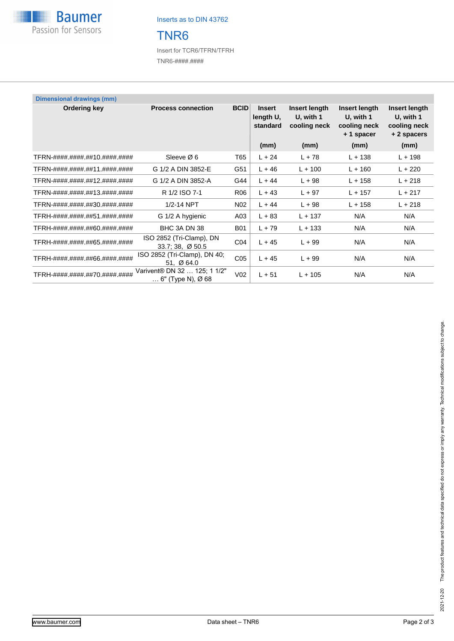

Inserts as to DIN 43762

## TNR6

Insert for TCR6/TFRN/TFRH TNR6-####.####

| <b>Dimensional drawings (mm)</b> |                                                            |                 |                                        |                                            |                                                         |                                                          |
|----------------------------------|------------------------------------------------------------|-----------------|----------------------------------------|--------------------------------------------|---------------------------------------------------------|----------------------------------------------------------|
| Ordering key                     | <b>Process connection</b>                                  | <b>BCID</b>     | <b>Insert</b><br>length U,<br>standard | Insert length<br>U, with 1<br>cooling neck | Insert length<br>U, with 1<br>cooling neck<br>+1 spacer | Insert length<br>U, with 1<br>cooling neck<br>+2 spacers |
|                                  |                                                            |                 | (mm)                                   | (mm)                                       | (mm)                                                    | (mm)                                                     |
| TFRN-####.####.##10.####.####    | Sleeve $\varnothing$ 6                                     | T65             | $L + 24$                               | $L + 78$                                   | $L + 138$                                               | $L + 198$                                                |
| TFRN-####.####.##11.####.####    | G 1/2 A DIN 3852-E                                         | G51             | $L + 46$                               | $L + 100$                                  | $L + 160$                                               | $L + 220$                                                |
| TFRN-####.####.##12.####.####    | G 1/2 A DIN 3852-A                                         | G44             | $L + 44$                               | $L + 98$                                   | $L + 158$                                               | $L + 218$                                                |
| TFRN-####.####.##13.####.####    | R 1/2 ISO 7-1                                              | R06             | $L + 43$                               | $L + 97$                                   | $L + 157$                                               | $L + 217$                                                |
| TFRN-####.####.##30.####.####    | 1/2-14 NPT                                                 | N <sub>02</sub> | $L + 44$                               | $L + 98$                                   | $L + 158$                                               | $L + 218$                                                |
| TFRH-####.####.##51.####.####    | G 1/2 A hygienic                                           | A03             | $L + 83$                               | $L + 137$                                  | N/A                                                     | N/A                                                      |
| TFRH-####.####.##60.####.####    | BHC 3A DN 38                                               | <b>B01</b>      | $L + 79$                               | $L + 133$                                  | N/A                                                     | N/A                                                      |
| TFRH-####.####.##65.####.####    | ISO 2852 (Tri-Clamp), DN<br>$33.7:38, \emptyset 50.5$      | CO <sub>4</sub> | $L + 45$                               | $L + 99$                                   | N/A                                                     | N/A                                                      |
| TFRH-####.####.##66.####.####    | ISO 2852 (Tri-Clamp), DN 40;<br>51, $\varnothing$ 64.0     | C <sub>05</sub> | $L + 45$                               | $L + 99$                                   | N/A                                                     | N/A                                                      |
| TFRH-####.####.##70.####.####    | Varivent® DN 32  125; 1 1/2"<br>$\ldots$ 6" (Type N), Ø 68 | V <sub>02</sub> | $L + 51$                               | $L + 105$                                  | N/A                                                     | N/A                                                      |